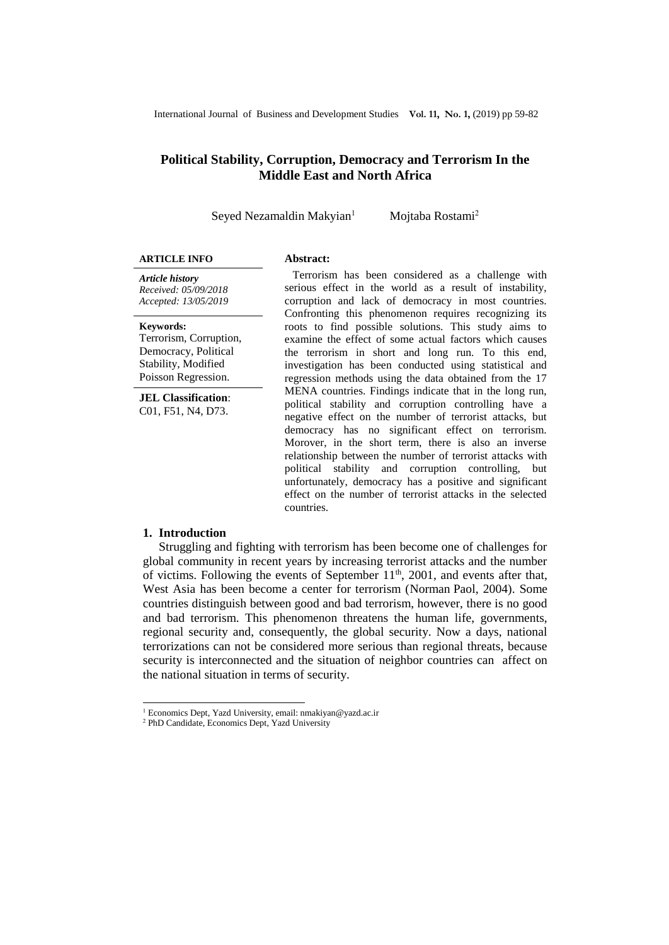## **Political Stability, Corruption, Democracy and Terrorism In the Middle East and North Africa**

Seyed Nezamaldin Makyian<sup>1</sup> Mojtaba Rostami<sup>2</sup>

#### **ARTICLE INFO Abstract:**

*Article history Received: 05/09/2018 Accepted: 13/05/2019*

**Keywords:** 

Terrorism, Corruption, Democracy, Political Stability, Modified Poisson Regression.

**JEL Classification**: C01, F51, N4, D73.

Terrorism has been considered as a challenge with serious effect in the world as a result of instability, corruption and lack of democracy in most countries. Confronting this phenomenon requires recognizing its roots to find possible solutions. This study aims to examine the effect of some actual factors which causes the terrorism in short and long run. To this end, investigation has been conducted using statistical and regression methods using the data obtained from the 17 MENA countries. Findings indicate that in the long run, political stability and corruption controlling have a negative effect on the number of terrorist attacks, but democracy has no significant effect on terrorism. Morover, in the short term, there is also an inverse relationship between the number of terrorist attacks with political stability and corruption controlling, but unfortunately, democracy has a positive and significant effect on the number of terrorist attacks in the selected countries.

## **1. Introduction**

 $\overline{a}$ 

Struggling and fighting with terrorism has been become one of challenges for global community in recent years by increasing terrorist attacks and the number of victims. Following the events of September  $11<sup>th</sup>$ , 2001, and events after that, West Asia has been become a center for terrorism (Norman Paol, 2004). Some countries distinguish between good and bad terrorism, however, there is no good and bad terrorism. This phenomenon threatens the human life, governments, regional security and, consequently, the global security. Now a days, national terrorizations can not be considered more serious than regional threats, because security is interconnected and the situation of neighbor countries can affect on the national situation in terms of security.

<sup>1</sup> Economics Dept, Yazd University, email: nmakiyan@yazd.ac.ir

<sup>2</sup> PhD Candidate, Economics Dept, Yazd University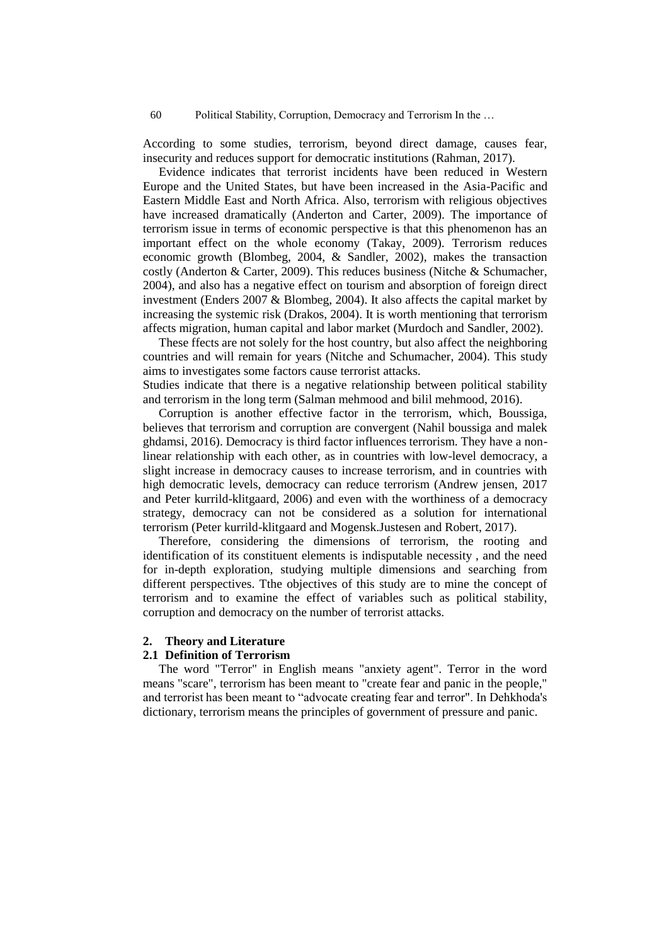According to some studies, terrorism, beyond direct damage, causes fear, insecurity and reduces support for democratic institutions (Rahman, 2017).

Evidence indicates that terrorist incidents have been reduced in Western Europe and the United States, but have been increased in the Asia-Pacific and Eastern Middle East and North Africa. Also, terrorism with religious objectives have increased dramatically (Anderton and Carter, 2009). The importance of terrorism issue in terms of economic perspective is that this phenomenon has an important effect on the whole economy (Takay, 2009). Terrorism reduces economic growth (Blombeg, 2004, & Sandler, 2002), makes the transaction costly (Anderton & Carter, 2009). This reduces business (Nitche & Schumacher, 2004), and also has a negative effect on tourism and absorption of foreign direct investment (Enders 2007 & Blombeg, 2004). It also affects the capital market by increasing the systemic risk (Drakos, 2004). It is worth mentioning that terrorism affects migration, human capital and labor market (Murdoch and Sandler, 2002).

These ffects are not solely for the host country, but also affect the neighboring countries and will remain for years (Nitche and Schumacher, 2004). This study aims to investigates some factors cause terrorist attacks.

Studies indicate that there is a negative relationship between political stability and terrorism in the long term (Salman mehmood and bilil mehmood, 2016).

Corruption is another effective factor in the terrorism, which, Boussiga, believes that terrorism and corruption are convergent (Nahil boussiga and malek ghdamsi, 2016). Democracy is third factor influences terrorism. They have a nonlinear relationship with each other, as in countries with low-level democracy, a slight increase in democracy causes to increase terrorism, and in countries with high democratic levels, democracy can reduce terrorism (Andrew jensen, 2017 and Peter kurrild-klitgaard, 2006) and even with the worthiness of a democracy strategy, democracy can not be considered as a solution for international terrorism (Peter kurrild-klitgaard and Mogensk.Justesen and Robert, 2017).

Therefore, considering the dimensions of terrorism, the rooting and identification of its constituent elements is indisputable necessity , and the need for in-depth exploration, studying multiple dimensions and searching from different perspectives. Tthe objectives of this study are to mine the concept of terrorism and to examine the effect of variables such as political stability, corruption and democracy on the number of terrorist attacks.

## **2. Theory and Literature**

## **2.1 Definition of Terrorism**

The word "Terror" in English means "anxiety agent". Terror in the word means "scare", terrorism has been meant to "create fear and panic in the people," and terrorist has been meant to "advocate creating fear and terror". In Dehkhoda's dictionary, terrorism means the principles of government of pressure and panic.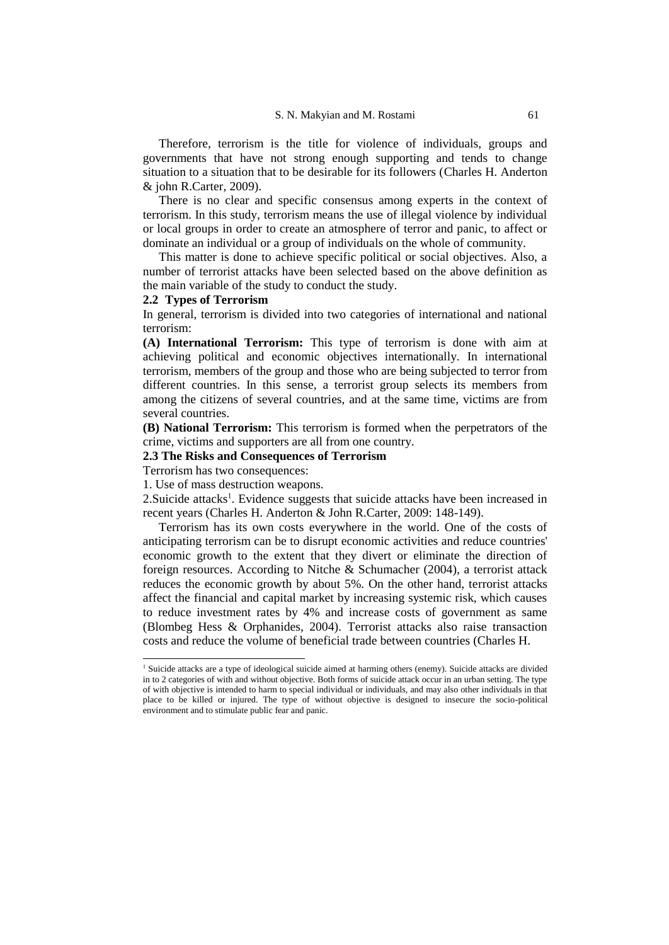Therefore, terrorism is the title for violence of individuals, groups and governments that have not strong enough supporting and tends to change situation to a situation that to be desirable for its followers (Charles H. Anderton & john R.Carter, 2009).

There is no clear and specific consensus among experts in the context of terrorism. In this study, terrorism means the use of illegal violence by individual or local groups in order to create an atmosphere of terror and panic, to affect or dominate an individual or a group of individuals on the whole of community.

This matter is done to achieve specific political or social objectives. Also, a number of terrorist attacks have been selected based on the above definition as the main variable of the study to conduct the study.

## **2.2 Types of Terrorism**

In general, terrorism is divided into two categories of international and national terrorism:

**(A) International Terrorism:** This type of terrorism is done with aim at achieving political and economic objectives internationally. In international terrorism, members of the group and those who are being subjected to terror from different countries. In this sense, a terrorist group selects its members from among the citizens of several countries, and at the same time, victims are from several countries.

**(B) National Terrorism:** This terrorism is formed when the perpetrators of the crime, victims and supporters are all from one country.

#### **2.3 The Risks and Consequences of Terrorism**

Terrorism has two consequences:

 $\overline{a}$ 

1. Use of mass destruction weapons.

2. Suicide attacks<sup>1</sup>. Evidence suggests that suicide attacks have been increased in recent years (Charles H. Anderton & John R.Carter, 2009: 148-149).

Terrorism has its own costs everywhere in the world. One of the costs of anticipating terrorism can be to disrupt economic activities and reduce countries' economic growth to the extent that they divert or eliminate the direction of foreign resources. According to Nitche & Schumacher (2004), a terrorist attack reduces the economic growth by about 5%. On the other hand, terrorist attacks affect the financial and capital market by increasing systemic risk, which causes to reduce investment rates by 4% and increase costs of government as same (Blombeg Hess & Orphanides, 2004). Terrorist attacks also raise transaction costs and reduce the volume of beneficial trade between countries (Charles H.

<sup>&</sup>lt;sup>1</sup> Suicide attacks are a type of ideological suicide aimed at harming others (enemy). Suicide attacks are divided in to 2 categories of with and without objective. Both forms of suicide attack occur in an urban setting. The type of with objective is intended to harm to special individual or individuals, and may also other individuals in that place to be killed or injured. The type of without objective is designed to insecure the socio-political environment and to stimulate public fear and panic.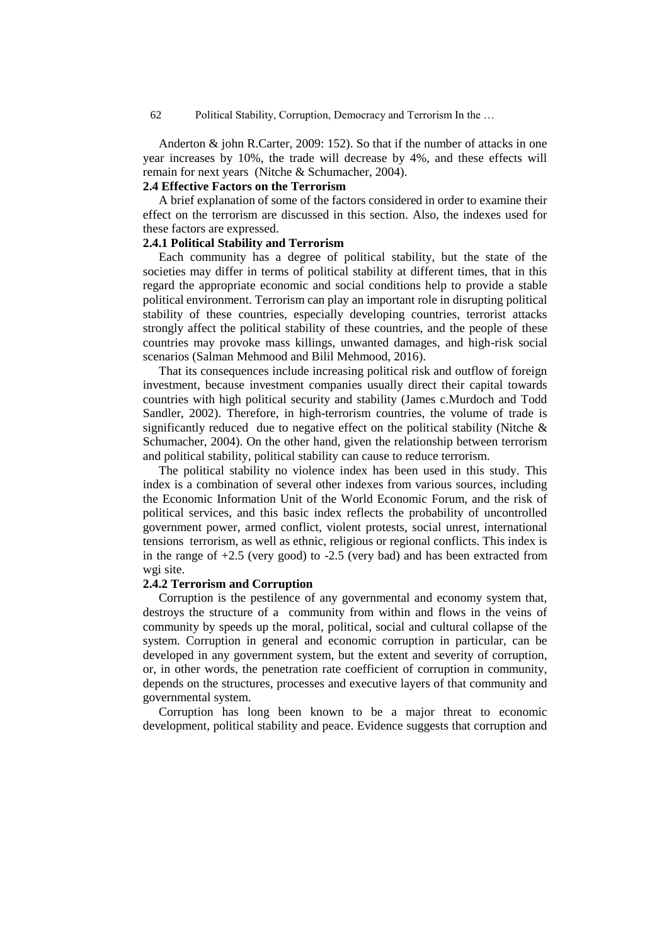Anderton & john R.Carter, 2009: 152). So that if the number of attacks in one year increases by 10%, the trade will decrease by 4%, and these effects will remain for next years (Nitche & Schumacher, 2004).

### **2.4 Effective Factors on the Terrorism**

A brief explanation of some of the factors considered in order to examine their effect on the terrorism are discussed in this section. Also, the indexes used for these factors are expressed.

## **2.4.1 Political Stability and Terrorism**

Each community has a degree of political stability, but the state of the societies may differ in terms of political stability at different times, that in this regard the appropriate economic and social conditions help to provide a stable political environment. Terrorism can play an important role in disrupting political stability of these countries, especially developing countries, terrorist attacks strongly affect the political stability of these countries, and the people of these countries may provoke mass killings, unwanted damages, and high-risk social scenarios (Salman Mehmood and Bilil Mehmood, 2016).

That its consequences include increasing political risk and outflow of foreign investment, because investment companies usually direct their capital towards countries with high political security and stability (James c.Murdoch and Todd Sandler, 2002). Therefore, in high-terrorism countries, the volume of trade is significantly reduced due to negative effect on the political stability (Nitche  $\&$ Schumacher, 2004). On the other hand, given the relationship between terrorism and political stability, political stability can cause to reduce terrorism.

The political stability no violence index has been used in this study. This index is a combination of several other indexes from various sources, including the Economic Information Unit of the World Economic Forum, and the risk of political services, and this basic index reflects the probability of uncontrolled government power, armed conflict, violent protests, social unrest, international tensions terrorism, as well as ethnic, religious or regional conflicts. This index is in the range of +2.5 (very good) to -2.5 (very bad) and has been extracted from wgi site.

## **2.4.2 Terrorism and Corruption**

Corruption is the pestilence of any governmental and economy system that, destroys the structure of a community from within and flows in the veins of community by speeds up the moral, political, social and cultural collapse of the system. Corruption in general and economic corruption in particular, can be developed in any government system, but the extent and severity of corruption, or, in other words, the penetration rate coefficient of corruption in community, depends on the structures, processes and executive layers of that community and governmental system.

Corruption has long been known to be a major threat to economic development, political stability and peace. Evidence suggests that corruption and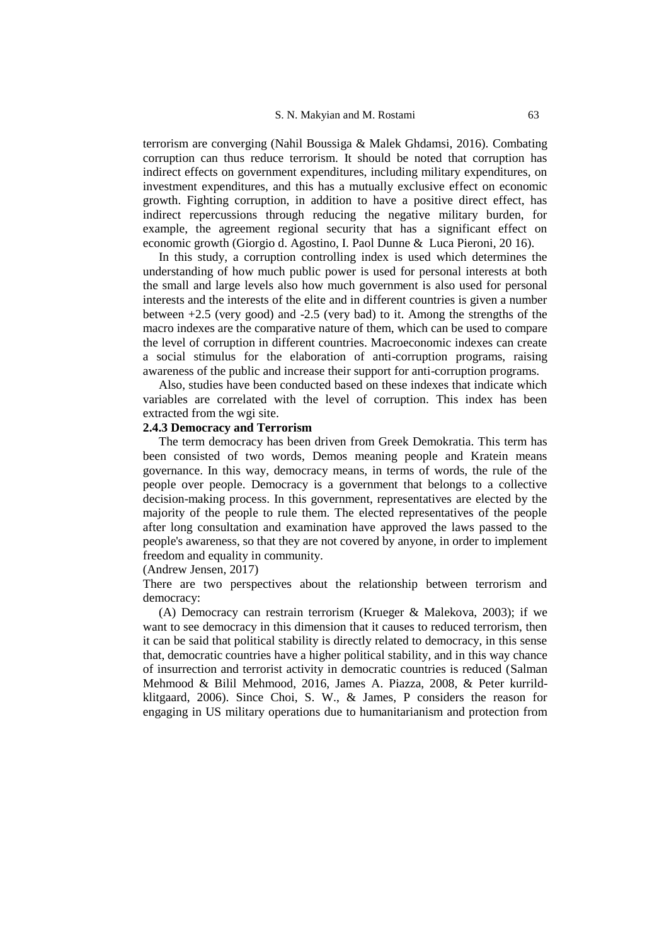terrorism are converging (Nahil Boussiga & Malek Ghdamsi, 2016). Combating corruption can thus reduce terrorism. It should be noted that corruption has indirect effects on government expenditures, including military expenditures, on investment expenditures, and this has a mutually exclusive effect on economic growth. Fighting corruption, in addition to have a positive direct effect, has indirect repercussions through reducing the negative military burden, for example, the agreement regional security that has a significant effect on economic growth (Giorgio d. Agostino, I. Paol Dunne & Luca Pieroni, 20 16).

In this study, a corruption controlling index is used which determines the understanding of how much public power is used for personal interests at both the small and large levels also how much government is also used for personal interests and the interests of the elite and in different countries is given a number between +2.5 (very good) and -2.5 (very bad) to it. Among the strengths of the macro indexes are the comparative nature of them, which can be used to compare the level of corruption in different countries. Macroeconomic indexes can create a social stimulus for the elaboration of anti-corruption programs, raising awareness of the public and increase their support for anti-corruption programs.

Also, studies have been conducted based on these indexes that indicate which variables are correlated with the level of corruption. This index has been extracted from the wgi site.

## **2.4.3 Democracy and Terrorism**

The term democracy has been driven from Greek Demokratia. This term has been consisted of two words, Demos meaning people and Kratein means governance. In this way, democracy means, in terms of words, the rule of the people over people. Democracy is a government that belongs to a collective decision-making process. In this government, representatives are elected by the majority of the people to rule them. The elected representatives of the people after long consultation and examination have approved the laws passed to the people's awareness, so that they are not covered by anyone, in order to implement freedom and equality in community.

(Andrew Jensen, 2017)

There are two perspectives about the relationship between terrorism and democracy:

(A) Democracy can restrain terrorism (Krueger & Malekova, 2003); if we want to see democracy in this dimension that it causes to reduced terrorism, then it can be said that political stability is directly related to democracy, in this sense that, democratic countries have a higher political stability, and in this way chance of insurrection and terrorist activity in democratic countries is reduced (Salman Mehmood & Bilil Mehmood, 2016, James A. Piazza, 2008, & Peter kurrildklitgaard, 2006). Since Choi, S. W., & James, P considers the reason for engaging in US military operations due to humanitarianism and protection from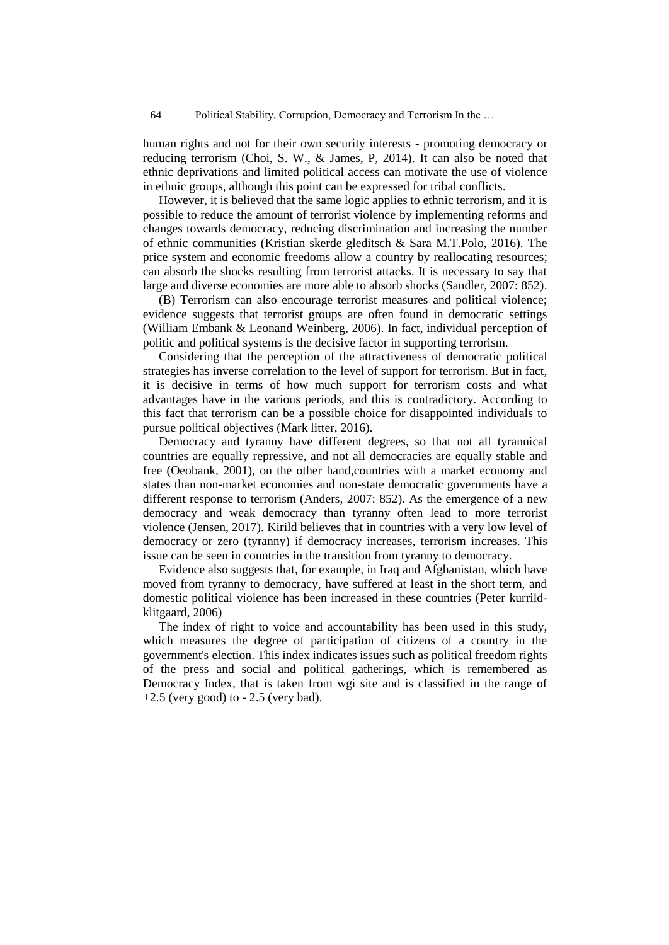human rights and not for their own security interests - promoting democracy or reducing terrorism (Choi, S. W., & James, P, 2014). It can also be noted that ethnic deprivations and limited political access can motivate the use of violence in ethnic groups, although this point can be expressed for tribal conflicts.

However, it is believed that the same logic applies to ethnic terrorism, and it is possible to reduce the amount of terrorist violence by implementing reforms and changes towards democracy, reducing discrimination and increasing the number of ethnic communities (Kristian skerde gleditsch & Sara M.T.Polo, 2016). The price system and economic freedoms allow a country by reallocating resources; can absorb the shocks resulting from terrorist attacks. It is necessary to say that large and diverse economies are more able to absorb shocks (Sandler, 2007: 852).

(B) Terrorism can also encourage terrorist measures and political violence; evidence suggests that terrorist groups are often found in democratic settings (William Embank & Leonand Weinberg, 2006). In fact, individual perception of politic and political systems is the decisive factor in supporting terrorism.

Considering that the perception of the attractiveness of democratic political strategies has inverse correlation to the level of support for terrorism. But in fact, it is decisive in terms of how much support for terrorism costs and what advantages have in the various periods, and this is contradictory. According to this fact that terrorism can be a possible choice for disappointed individuals to pursue political objectives (Mark litter, 2016).

Democracy and tyranny have different degrees, so that not all tyrannical countries are equally repressive, and not all democracies are equally stable and free (Oeobank, 2001), on the other hand,countries with a market economy and states than non-market economies and non-state democratic governments have a different response to terrorism (Anders, 2007: 852). As the emergence of a new democracy and weak democracy than tyranny often lead to more terrorist violence (Jensen, 2017). Kirild believes that in countries with a very low level of democracy or zero (tyranny) if democracy increases, terrorism increases. This issue can be seen in countries in the transition from tyranny to democracy.

Evidence also suggests that, for example, in Iraq and Afghanistan, which have moved from tyranny to democracy, have suffered at least in the short term, and domestic political violence has been increased in these countries (Peter kurrildklitgaard, 2006)

The index of right to voice and accountability has been used in this study, which measures the degree of participation of citizens of a country in the government's election. This index indicates issues such as political freedom rights of the press and social and political gatherings, which is remembered as Democracy Index, that is taken from wgi site and is classified in the range of  $+2.5$  (very good) to  $-2.5$  (very bad).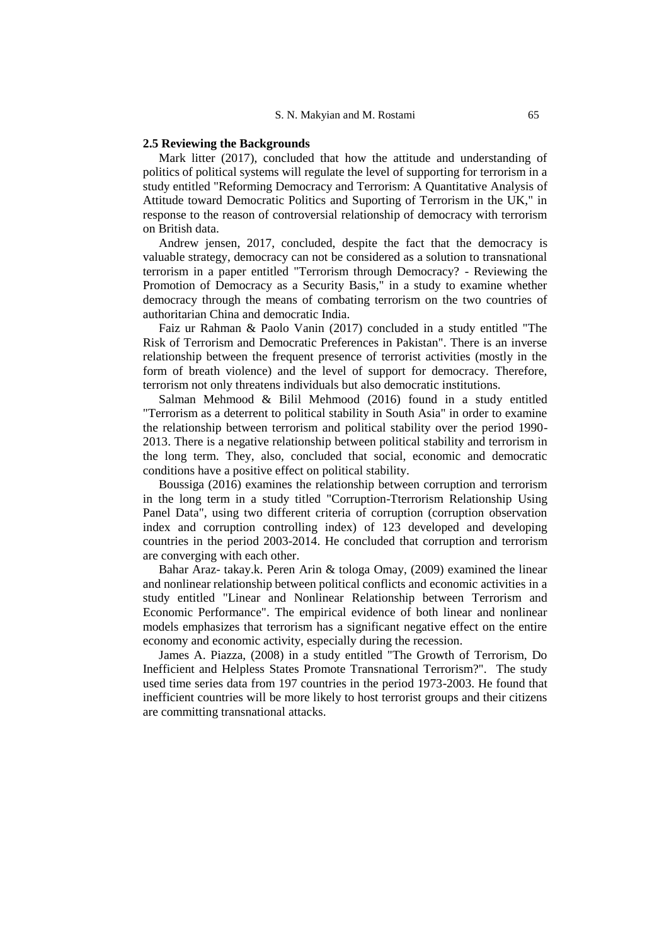#### **2.5 Reviewing the Backgrounds**

Mark litter (2017), concluded that how the attitude and understanding of politics of political systems will regulate the level of supporting for terrorism in a study entitled "Reforming Democracy and Terrorism: A Quantitative Analysis of Attitude toward Democratic Politics and Suporting of Terrorism in the UK," in response to the reason of controversial relationship of democracy with terrorism on British data.

Andrew jensen, 2017, concluded, despite the fact that the democracy is valuable strategy, democracy can not be considered as a solution to transnational terrorism in a paper entitled "Terrorism through Democracy? - Reviewing the Promotion of Democracy as a Security Basis," in a study to examine whether democracy through the means of combating terrorism on the two countries of authoritarian China and democratic India.

Faiz ur Rahman & Paolo Vanin (2017) concluded in a study entitled "The Risk of Terrorism and Democratic Preferences in Pakistan". There is an inverse relationship between the frequent presence of terrorist activities (mostly in the form of breath violence) and the level of support for democracy. Therefore, terrorism not only threatens individuals but also democratic institutions.

Salman Mehmood & Bilil Mehmood (2016) found in a study entitled "Terrorism as a deterrent to political stability in South Asia" in order to examine the relationship between terrorism and political stability over the period 1990- 2013. There is a negative relationship between political stability and terrorism in the long term. They, also, concluded that social, economic and democratic conditions have a positive effect on political stability.

Boussiga (2016) examines the relationship between corruption and terrorism in the long term in a study titled "Corruption-Tterrorism Relationship Using Panel Data", using two different criteria of corruption (corruption observation index and corruption controlling index) of 123 developed and developing countries in the period 2003-2014. He concluded that corruption and terrorism are converging with each other.

Bahar Araz- takay.k. Peren Arin & tologa Omay, (2009) examined the linear and nonlinear relationship between political conflicts and economic activities in a study entitled "Linear and Nonlinear Relationship between Terrorism and Economic Performance". The empirical evidence of both linear and nonlinear models emphasizes that terrorism has a significant negative effect on the entire economy and economic activity, especially during the recession.

James A. Piazza, (2008) in a study entitled "The Growth of Terrorism, Do Inefficient and Helpless States Promote Transnational Terrorism?". The study used time series data from 197 countries in the period 1973-2003. He found that inefficient countries will be more likely to host terrorist groups and their citizens are committing transnational attacks.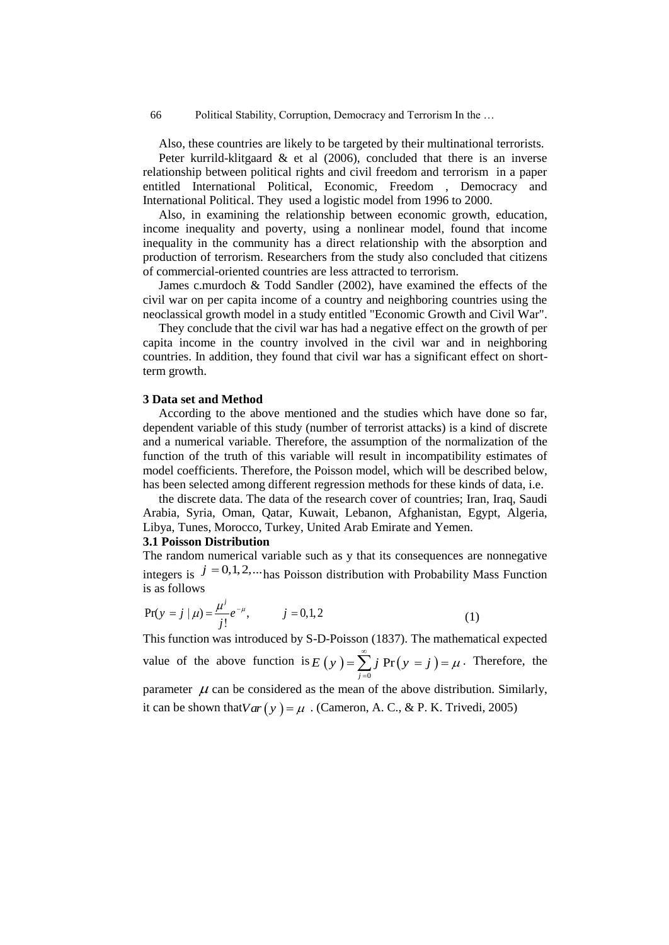Also, these countries are likely to be targeted by their multinational terrorists. Peter kurrild-klitgaard  $\&$  et al (2006), concluded that there is an inverse relationship between political rights and civil freedom and terrorism in a paper entitled International Political, Economic, Freedom , Democracy and International Political. They used a logistic model from 1996 to 2000.

Also, in examining the relationship between economic growth, education, income inequality and poverty, using a nonlinear model, found that income inequality in the community has a direct relationship with the absorption and production of terrorism. Researchers from the study also concluded that citizens of commercial-oriented countries are less attracted to terrorism.

James c.murdoch & Todd Sandler (2002), have examined the effects of the civil war on per capita income of a country and neighboring countries using the neoclassical growth model in a study entitled "Economic Growth and Civil War".

They conclude that the civil war has had a negative effect on the growth of per capita income in the country involved in the civil war and in neighboring countries. In addition, they found that civil war has a significant effect on shortterm growth.

#### **3 Data set and Method**

According to the above mentioned and the studies which have done so far, dependent variable of this study (number of terrorist attacks) is a kind of discrete and a numerical variable. Therefore, the assumption of the normalization of the function of the truth of this variable will result in incompatibility estimates of model coefficients. Therefore, the Poisson model, which will be described below, has been selected among different regression methods for these kinds of data, i.e.

the discrete data. The data of the research cover of countries; Iran, Iraq, Saudi Arabia, Syria, Oman, Qatar, Kuwait, Lebanon, Afghanistan, Egypt, Algeria, Libya, Tunes, Morocco, Turkey, United Arab Emirate and Yemen.

### **3.1 Poisson Distribution**

The random numerical variable such as y that its consequences are nonnegative integers is  $j = 0, 1, 2, \dots$  has Poisson distribution with Probability Mass Function is as follows

$$
Pr(y = j | \mu) = \frac{\mu^{j}}{j!} e^{-\mu}, \qquad j = 0, 1, 2
$$
 (1)

This function was introduced by S-D-Poisson (1837). The mathematical expected value of the above function is  $E(y) = \sum j Pr(y = j)$  $\mathbf{0}$ Pr  $E(y) = \sum_{j=0}^{\infty} j \Pr(y = j) = \mu$  $=\sum_{j=0}^{\infty} j \Pr(y=j) = \mu$ . Therefore, the parameter  $\mu$  can be considered as the mean of the above distribution. Similarly,

it can be shown that  $Var(y) = \mu$ . (Cameron, A. C., & P. K. Trivedi, 2005)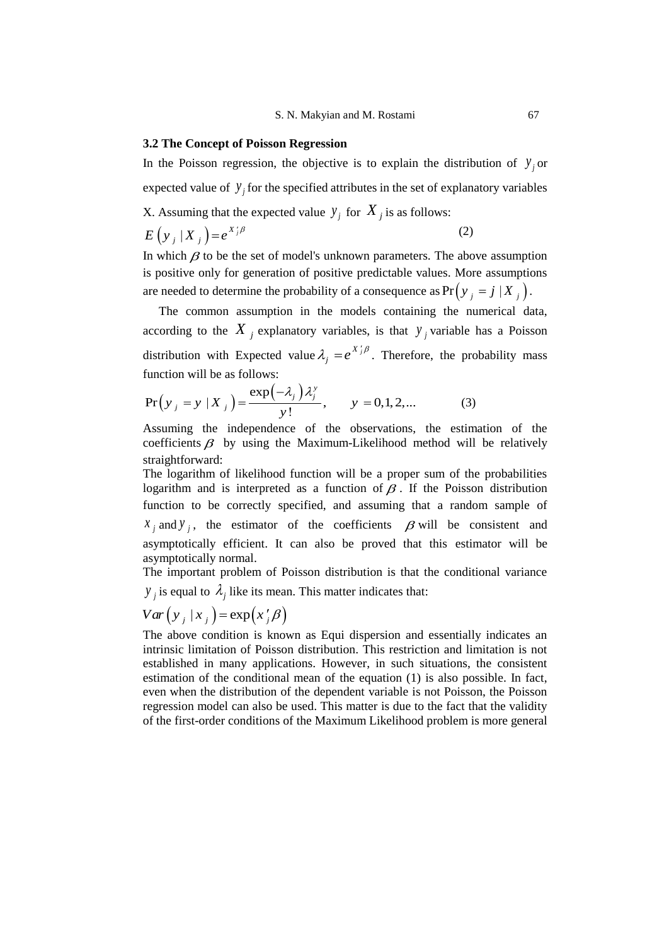## **3.2 The Concept of Poisson Regression**

In the Poisson regression, the objective is to explain the distribution of  $y_j$  or expected value of  $y_j$  for the specified attributes in the set of explanatory variables X. Assuming that the expected value  $y_j$  for  $X_j$  is as follows: (2)  $E(y_j | X_j) = e^{X'_j \beta}$ 

In which  $\beta$  to be the set of model's unknown parameters. The above assumption is positive only for generation of positive predictable values. More assumptions are needed to determine the probability of a consequence as  $Pr(y_j = j | X_j)$ .

The common assumption in the models containing the numerical data, according to the  $X_j$  explanatory variables, is that  $y_j$  variable has a Poisson distribution with Expected value  $\lambda_i = e^{X_i}$ d value  $\lambda_j = e^{X_j/\beta}$ . Therefore, the probability mass<br>  $\left(-\lambda_j\right)\lambda_j^y$   $y = 0, 1, 2$  (3)

function will be as follows:  
\n
$$
Pr(y_j = y | X_j) = \frac{exp(-\lambda_j)\lambda_j^y}{y!}, \qquad y = 0, 1, 2, ...
$$
\n(3)

Assuming the independence of the observations, the estimation of the coefficients  $\beta$  by using the Maximum-Likelihood method will be relatively straightforward:

The logarithm of likelihood function will be a proper sum of the probabilities logarithm and is interpreted as a function of  $\beta$ . If the Poisson distribution function to be correctly specified, and assuming that a random sample of  $x_j$  and  $y_j$ , the estimator of the coefficients  $\beta$  will be consistent and asymptotically efficient. It can also be proved that this estimator will be asymptotically normal.

The important problem of Poisson distribution is that the conditional variance  $y_j$  is equal to  $\lambda_j$  like its mean. This matter indicates that:

$$
Var(y_j | x_j) = exp(x'_j \beta)
$$

The above condition is known as Equi dispersion and essentially indicates an intrinsic limitation of Poisson distribution. This restriction and limitation is not established in many applications. However, in such situations, the consistent estimation of the conditional mean of the equation (1) is also possible. In fact, even when the distribution of the dependent variable is not Poisson, the Poisson regression model can also be used. This matter is due to the fact that the validity of the first-order conditions of the Maximum Likelihood problem is more general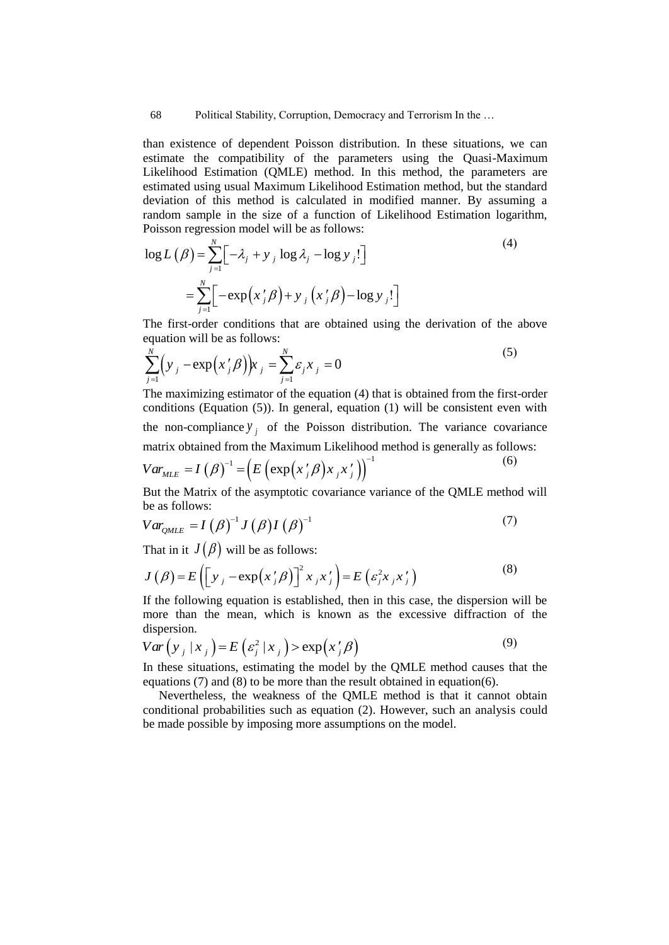than existence of dependent Poisson distribution. In these situations, we can estimate the compatibility of the parameters using the Quasi-Maximum Likelihood Estimation (QMLE) method. In this method, the parameters are estimated using usual Maximum Likelihood Estimation method, but the standard deviation of this method is calculated in modified manner. By assuming a random sample in the size of a function of Likelihood Estimation logarithm,

Poisson regression model will be as follows:  
\n
$$
\log L(\beta) = \sum_{j=1}^{N} \left[ -\lambda_j + y_j \log \lambda_j - \log y_j \right]
$$
\n
$$
= \sum_{j=1}^{N} \left[ -\exp\left(x'_j \beta\right) + y_j \left(x'_j \beta\right) - \log y_j \right]
$$
\n(4)

The first-order conditions that are obtained using the derivation of the above

equation will be as follows:  
\n
$$
\sum_{j=1}^{N} (y_j - \exp(x'_j \beta)) x_j = \sum_{j=1}^{N} \varepsilon_j x_j = 0
$$
\n(5)

The maximizing estimator of the equation (4) that is obtained from the first-order conditions (Equation (5)). In general, equation (1) will be consistent even with the non-compliance  $y_j$  of the Poisson distribution. The variance covariance

matrix obtained from the Maximum Likelihood method is generally as follows:  
\n
$$
Var_{MLE} = I(\beta)^{-1} = \left( E\left( exp\left(x'_j \beta\right)x_j x'_j \right) \right)^{-1}
$$
\n(6)

But the Matrix of the asymptotic covariance variance of the QMLE method will be as follows:

be as follows:  
\n
$$
Var_{QMLE} = I(\beta)^{-1} J(\beta) I(\beta)^{-1}
$$
\n(7)

That in it 
$$
J(\beta)
$$
 will be as follows:  
\n
$$
J(\beta) = E\left(\left[y_j - \exp(x'_j\beta)\right]^2 x_j x'_j\right) = E\left(\varepsilon_j^2 x_j x'_j\right)
$$
\n(8)

If the following equation is established, then in this case, the dispersion will be more than the mean, which is known as the excessive diffraction of the dispersion.

dispersion.  
\n
$$
Var(y_j | x_j) = E(\varepsilon_j^2 | x_j) > exp(x_j' \beta)
$$
\n(9)

In these situations, estimating the model by the QMLE method causes that the equations (7) and (8) to be more than the result obtained in equation(6).

Nevertheless, the weakness of the QMLE method is that it cannot obtain conditional probabilities such as equation (2). However, such an analysis could be made possible by imposing more assumptions on the model.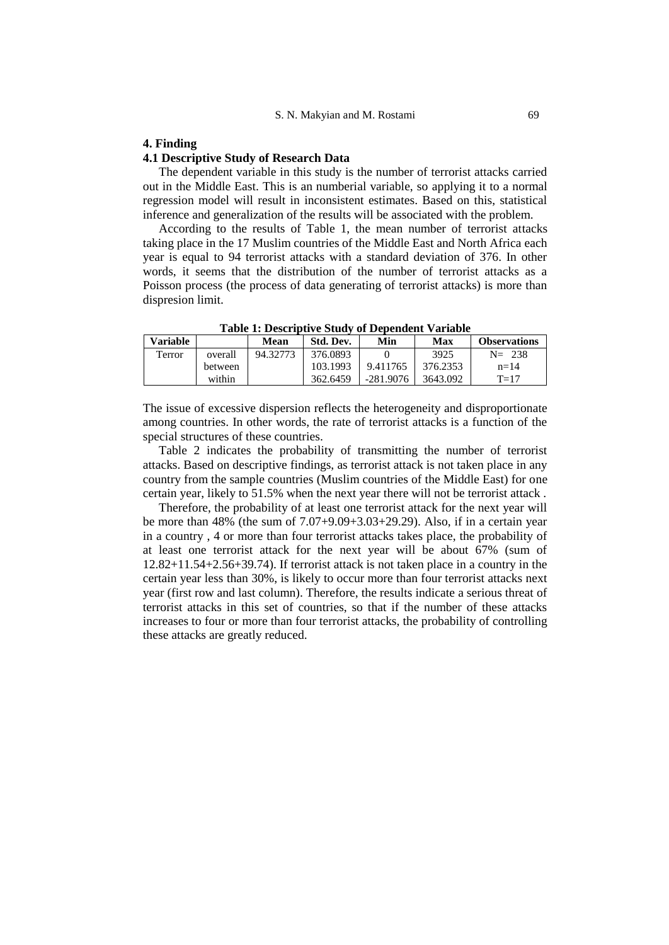## **4. Finding**

## **4.1 Descriptive Study of Research Data**

The dependent variable in this study is the number of terrorist attacks carried out in the Middle East. This is an numberial variable, so applying it to a normal regression model will result in inconsistent estimates. Based on this, statistical inference and generalization of the results will be associated with the problem.

According to the results of Table 1, the mean number of terrorist attacks taking place in the 17 Muslim countries of the Middle East and North Africa each year is equal to 94 terrorist attacks with a standard deviation of 376. In other words, it seems that the distribution of the number of terrorist attacks as a Poisson process (the process of data generating of terrorist attacks) is more than dispresion limit.

| Variable |         | Mean     | Std. Dev. | Min         | Max      | <b>Observations</b> |
|----------|---------|----------|-----------|-------------|----------|---------------------|
| Terror   | overall | 94.32773 | 376.0893  |             | 3925     | $N = 238$           |
|          | between |          | 103.1993  | 9.411765    | 376.2353 | $n = 14$            |
|          | within  |          | 362.6459  | $-281.9076$ | 3643.092 | $T=17$              |

**Table 1: Descriptive Study of Dependent Variable**

The issue of excessive dispersion reflects the heterogeneity and disproportionate among countries. In other words, the rate of terrorist attacks is a function of the special structures of these countries.

Table 2 indicates the probability of transmitting the number of terrorist attacks. Based on descriptive findings, as terrorist attack is not taken place in any country from the sample countries (Muslim countries of the Middle East) for one certain year, likely to 51.5% when the next year there will not be terrorist attack .

Therefore, the probability of at least one terrorist attack for the next year will be more than 48% (the sum of 7.07+9.09+3.03+29.29). Also, if in a certain year in a country , 4 or more than four terrorist attacks takes place, the probability of at least one terrorist attack for the next year will be about 67% (sum of 12.82+11.54+2.56+39.74). If terrorist attack is not taken place in a country in the certain year less than 30%, is likely to occur more than four terrorist attacks next year (first row and last column). Therefore, the results indicate a serious threat of terrorist attacks in this set of countries, so that if the number of these attacks increases to four or more than four terrorist attacks, the probability of controlling these attacks are greatly reduced.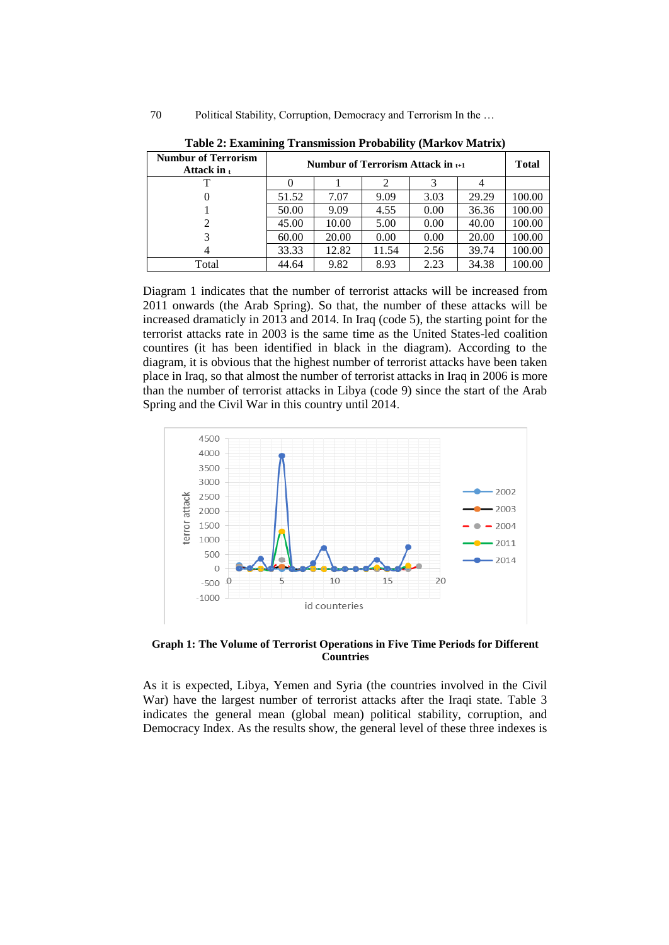| <b>Numbur of Terrorism</b><br>Attack in $t$ | Numbur of Terrorism Attack in $_{t+1}$ |       |       |      |       |        |  |
|---------------------------------------------|----------------------------------------|-------|-------|------|-------|--------|--|
|                                             |                                        |       |       |      |       |        |  |
| $\theta$                                    | 51.52                                  | 7.07  | 9.09  | 3.03 | 29.29 | 100.00 |  |
|                                             | 50.00                                  | 9.09  | 4.55  | 0.00 | 36.36 | 100.00 |  |
| 2                                           | 45.00                                  | 10.00 | 5.00  | 0.00 | 40.00 | 100.00 |  |
|                                             | 60.00                                  | 20.00 | 0.00  | 0.00 | 20.00 | 100.00 |  |
|                                             | 33.33                                  | 12.82 | 11.54 | 2.56 | 39.74 | 100.00 |  |
| Total                                       | 44.64                                  | 9.82  | 8.93  | 2.23 | 34.38 | 100.00 |  |

**Table 2: Examining Transmission Probability (Markov Matrix)**

Diagram 1 indicates that the number of terrorist attacks will be increased from 2011 onwards (the Arab Spring). So that, the number of these attacks will be increased dramaticly in 2013 and 2014. In Iraq (code 5), the starting point for the terrorist attacks rate in 2003 is the same time as the United States-led coalition countires (it has been identified in black in the diagram). According to the diagram, it is obvious that the highest number of terrorist attacks have been taken place in Iraq, so that almost the number of terrorist attacks in Iraq in 2006 is more than the number of terrorist attacks in Libya (code 9) since the start of the Arab Spring and the Civil War in this country until 2014.



**Graph 1: The Volume of Terrorist Operations in Five Time Periods for Different Countries**

As it is expected, Libya, Yemen and Syria (the countries involved in the Civil War) have the largest number of terrorist attacks after the Iraqi state. Table 3 indicates the general mean (global mean) political stability, corruption, and Democracy Index. As the results show, the general level of these three indexes is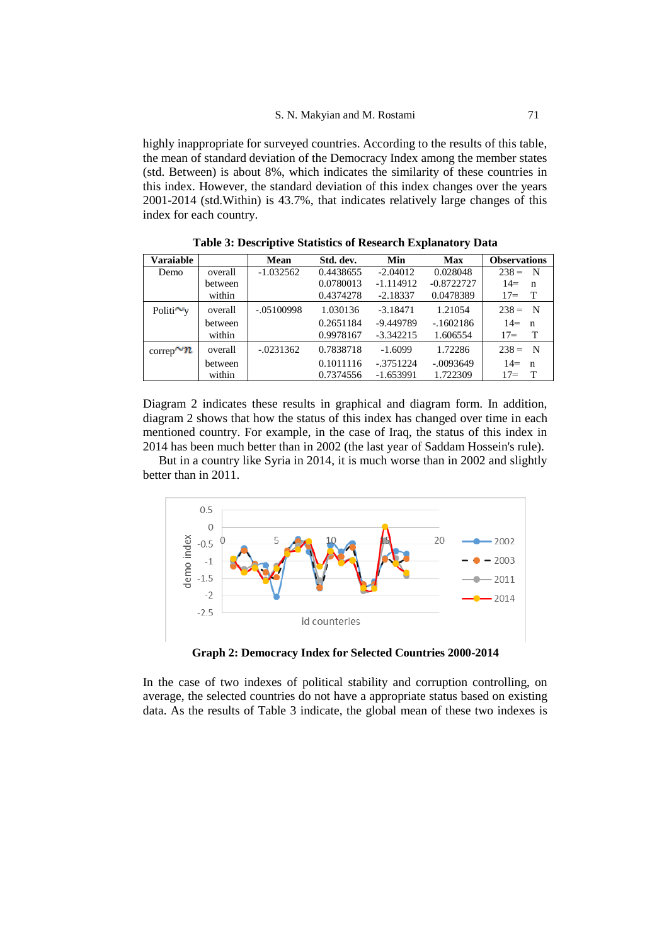highly inappropriate for surveyed countries. According to the results of this table, the mean of standard deviation of the Democracy Index among the member states (std. Between) is about 8%, which indicates the similarity of these countries in this index. However, the standard deviation of this index changes over the years 2001-2014 (std.Within) is 43.7%, that indicates relatively large changes of this index for each country.

| Varaiable              |         | Mean         | Std. dev. | Min         | <b>Max</b>   | <b>Observations</b>   |
|------------------------|---------|--------------|-----------|-------------|--------------|-----------------------|
| Demo                   | overall | $-1.032562$  | 0.4438655 | $-2.04012$  | 0.028048     | $238 = N$             |
|                        | between |              | 0.0780013 | $-1.114912$ | $-0.8722727$ | $14=$<br>n            |
|                        | within  |              | 0.4374278 | $-2.18337$  | 0.0478389    | $17 =$<br>T           |
| Politi $\sim_y$        | overall | $-.05100998$ | 1.030136  | $-3.18471$  | 1.21054      | $238 = N$             |
|                        | between |              | 0.2651184 | -9.449789   | $-1602186$   | $14 =$<br>$\mathbf n$ |
|                        | within  |              | 0.9978167 | $-3.342215$ | 1.606554     | $17=$<br>Т            |
| $\text{correp} \sim n$ | overall | $-.0231362$  | 0.7838718 | $-1.6099$   | 1.72286      | $238 = N$             |
|                        | between |              | 0.1011116 | $-3751224$  | $-.0093649$  | $14=$<br>$\mathbf n$  |
|                        | within  |              | 0.7374556 | $-1.653991$ | 1.722309     | $17 =$                |

**Table 3: Descriptive Statistics of Research Explanatory Data**

Diagram 2 indicates these results in graphical and diagram form. In addition, diagram 2 shows that how the status of this index has changed over time in each mentioned country. For example, in the case of Iraq, the status of this index in 2014 has been much better than in 2002 (the last year of Saddam Hossein's rule).

But in a country like Syria in 2014, it is much worse than in 2002 and slightly better than in 2011.



**Graph 2: Democracy Index for Selected Countries 2000-2014**

In the case of two indexes of political stability and corruption controlling, on average, the selected countries do not have a appropriate status based on existing data. As the results of Table 3 indicate, the global mean of these two indexes is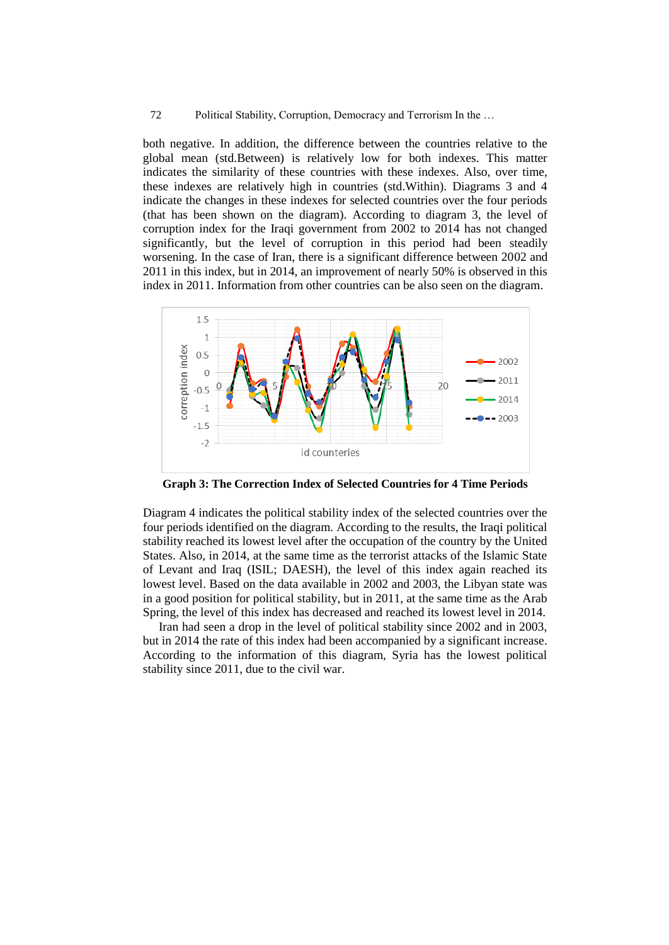both negative. In addition, the difference between the countries relative to the global mean (std.Between) is relatively low for both indexes. This matter indicates the similarity of these countries with these indexes. Also, over time, these indexes are relatively high in countries (std.Within). Diagrams 3 and 4 indicate the changes in these indexes for selected countries over the four periods (that has been shown on the diagram). According to diagram 3, the level of corruption index for the Iraqi government from 2002 to 2014 has not changed significantly, but the level of corruption in this period had been steadily worsening. In the case of Iran, there is a significant difference between 2002 and 2011 in this index, but in 2014, an improvement of nearly 50% is observed in this index in 2011. Information from other countries can be also seen on the diagram.



**Graph 3: The Correction Index of Selected Countries for 4 Time Periods**

Diagram 4 indicates the political stability index of the selected countries over the four periods identified on the diagram. According to the results, the Iraqi political stability reached its lowest level after the occupation of the country by the United States. Also, in 2014, at the same time as the terrorist attacks of the Islamic State of Levant and Iraq (ISIL; DAESH), the level of this index again reached its lowest level. Based on the data available in 2002 and 2003, the Libyan state was in a good position for political stability, but in 2011, at the same time as the Arab Spring, the level of this index has decreased and reached its lowest level in 2014.

Iran had seen a drop in the level of political stability since 2002 and in 2003, but in 2014 the rate of this index had been accompanied by a significant increase. According to the information of this diagram, Syria has the lowest political stability since 2011, due to the civil war.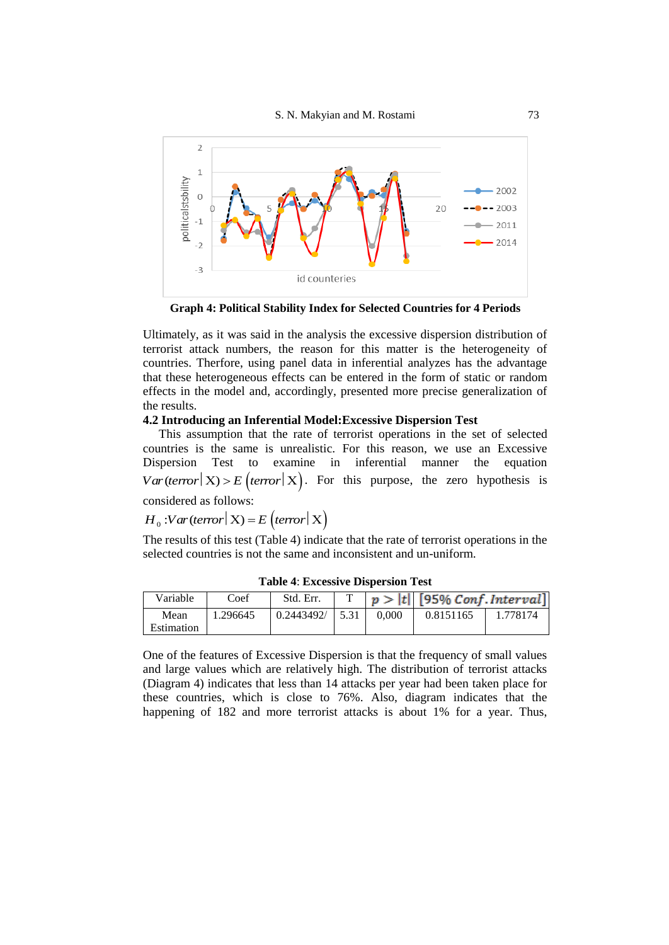

**Graph 4: Political Stability Index for Selected Countries for 4 Periods**

Ultimately, as it was said in the analysis the excessive dispersion distribution of terrorist attack numbers, the reason for this matter is the heterogeneity of countries. Therfore, using panel data in inferential analyzes has the advantage that these heterogeneous effects can be entered in the form of static or random effects in the model and, accordingly, presented more precise generalization of the results.

## **4.2 Introducing an Inferential Model:Excessive Dispersion Test**

This assumption that the rate of terrorist operations in the set of selected countries is the same is unrealistic. For this reason, we use an Excessive Dispersion Test to examine in inferential manner the equation Dispersion rest to examine in interential manner the equation  $Var(terror | X) > E(terror | X)$ . For this purpose, the zero hypothesis is considered as follows:

considered as follows:<br>  $H_0$  :Var (terror  $\mid$  X) = E (terror  $\mid$  X)

The results of this test (Table 4) indicate that the rate of terrorist operations in the selected countries is not the same and inconsistent and un-uniform.

| Variable           | Coef     | Std. Err.                         |       | $ p> t $ [95% Conf. Interval] |          |
|--------------------|----------|-----------------------------------|-------|-------------------------------|----------|
| Mean<br>Estimation | 1.296645 | $\mid 0.2443492 / \mid 5.31 \mid$ | 0.000 | 0.8151165                     | 1.778174 |

**Table 4**: **Excessive Dispersion Test**

One of the features of Excessive Dispersion is that the frequency of small values and large values which are relatively high. The distribution of terrorist attacks (Diagram 4) indicates that less than 14 attacks per year had been taken place for these countries, which is close to 76%. Also, diagram indicates that the happening of 182 and more terrorist attacks is about 1% for a year. Thus,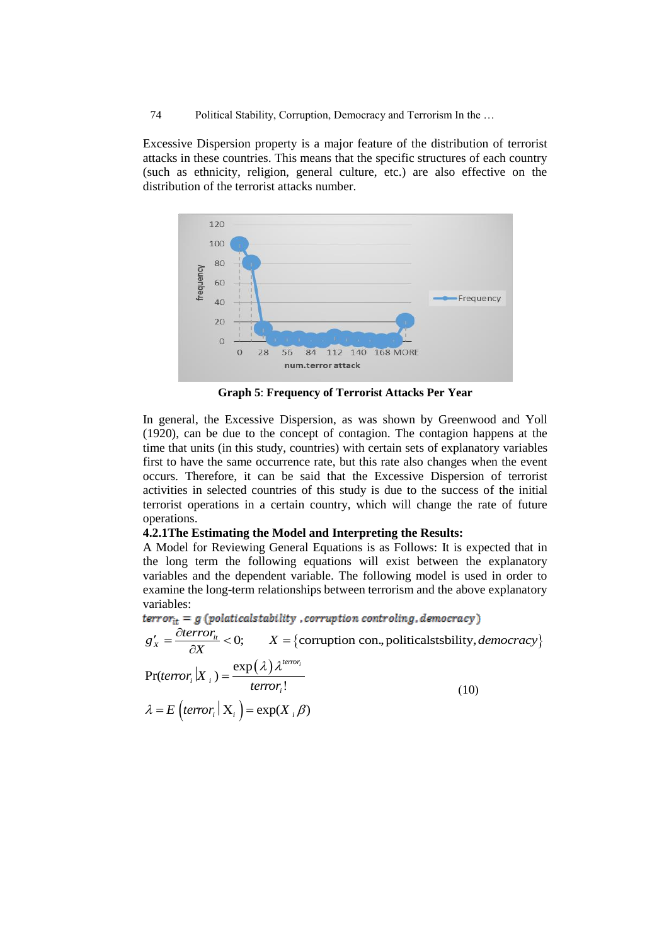Excessive Dispersion property is a major feature of the distribution of terrorist attacks in these countries. This means that the specific structures of each country (such as ethnicity, religion, general culture, etc.) are also effective on the distribution of the terrorist attacks number.



**Graph 5**: **Frequency of Terrorist Attacks Per Year**

In general, the Excessive Dispersion, as was shown by Greenwood and Yoll (1920), can be due to the concept of contagion. The contagion happens at the time that units (in this study, countries) with certain sets of explanatory variables first to have the same occurrence rate, but this rate also changes when the event occurs. Therefore, it can be said that the Excessive Dispersion of terrorist activities in selected countries of this study is due to the success of the initial terrorist operations in a certain country, which will change the rate of future operations.

## **4.2.1The Estimating the Model and Interpreting the Results:**

A Model for Reviewing General Equations is as Follows: It is expected that in the long term the following equations will exist between the explanatory variables and the dependent variable. The following model is used in order to variables:

$$
error_{it} = g (polarical stability, corruption controlling, democracy)
$$

examine the long-term relationships between terrorism and the above explanatory variables:

\n**terror**<sub>it</sub> = 
$$
g
$$
 (*polarical stability*, *corruption controlling*, *democracy*)

\n $g'_x = \frac{\partial \text{terror}_{it}}{\partial X} < 0; \quad X = \{\text{corruption con.}, \text{politicalstability}, \text{democracy}\}$ 

\n
$$
\Pr(\text{terror}_i | X_i) = \frac{\exp(\lambda) \lambda^{\text{terror}_i}}{\text{terror}_i!}
$$
\n(10)

\n $\lambda = E \left( \text{terror}_i | X_i \right) = \exp(X_i \beta)$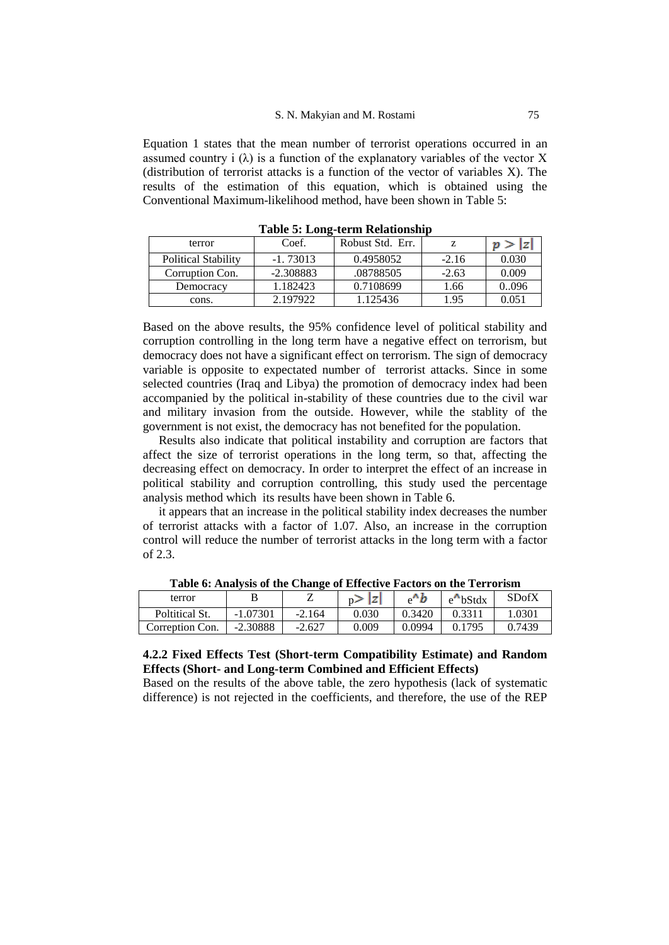Equation 1 states that the mean number of terrorist operations occurred in an assumed country i  $(\lambda)$  is a function of the explanatory variables of the vector X (distribution of terrorist attacks is a function of the vector of variables X). The results of the estimation of this equation, which is obtained using the Conventional Maximum-likelihood method, have been shown in Table 5:

| terror                     | Coef.       | Robust Std. Err. |         | 'n    |  |  |  |
|----------------------------|-------------|------------------|---------|-------|--|--|--|
| <b>Political Stability</b> | $-1.73013$  | 0.4958052        | $-2.16$ | 0.030 |  |  |  |
| Corruption Con.            | $-2.308883$ | .08788505        | $-2.63$ | 0.009 |  |  |  |
| Democracy                  | 1.182423    | 0.7108699        | 1.66    | 0096  |  |  |  |
| cons.                      | 2.197922    | 1.125436         | 1.95    | 0.051 |  |  |  |

**Table 5: Long-term Relationship**

Based on the above results, the 95% confidence level of political stability and corruption controlling in the long term have a negative effect on terrorism, but democracy does not have a significant effect on terrorism. The sign of democracy variable is opposite to expectated number of terrorist attacks. Since in some selected countries (Iraq and Libya) the promotion of democracy index had been accompanied by the political in-stability of these countries due to the civil war and military invasion from the outside. However, while the stablity of the government is not exist, the democracy has not benefited for the population.

Results also indicate that political instability and corruption are factors that affect the size of terrorist operations in the long term, so that, affecting the decreasing effect on democracy. In order to interpret the effect of an increase in political stability and corruption controlling, this study used the percentage analysis method which its results have been shown in Table 6.

it appears that an increase in the political stability index decreases the number of terrorist attacks with a factor of 1.07. Also, an increase in the corruption control will reduce the number of terrorist attacks in the long term with a factor of 2.3.

| terror          |            |          | n><br>Ιz |        | $e^{\Lambda}$ bStdx | <b>SDofX</b> |
|-----------------|------------|----------|----------|--------|---------------------|--------------|
| Poltitical St.  | $-1.07301$ | $-2.164$ | 0.030    | 0.3420 | 0.3311              | 0.301        |
| Correption Con. | $-2.30888$ | $-2.627$ | 0.009    | 0.0994 | 0.1795              | 0.7439       |

**Table 6: Analysis of the Change of Effective Factors on the Terrorism**

## **4.2.2 Fixed Effects Test (Short-term Compatibility Estimate) and Random Effects (Short- and Long-term Combined and Efficient Effects)**

Based on the results of the above table, the zero hypothesis (lack of systematic difference) is not rejected in the coefficients, and therefore, the use of the REP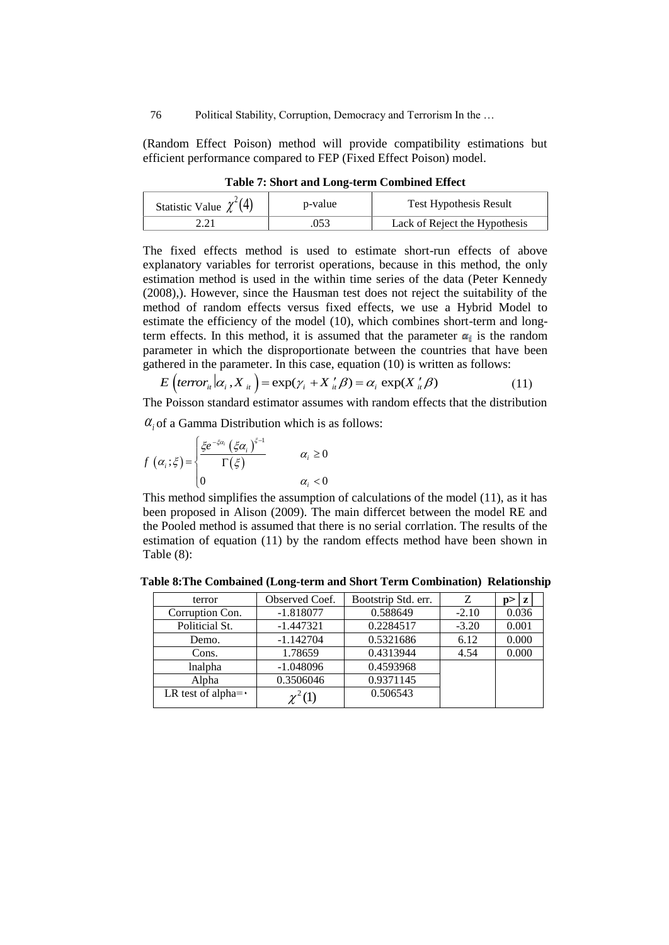(Random Effect Poison) method will provide compatibility estimations but efficient performance compared to FEP (Fixed Effect Poison) model.

| Statistic Value $\chi^2(4)$ | p-value | <b>Test Hypothesis Result</b> |
|-----------------------------|---------|-------------------------------|
|                             | ารว     | Lack of Reject the Hypothesis |

**Table 7: Short and Long-term Combined Effect**

The fixed effects method is used to estimate short-run effects of above explanatory variables for terrorist operations, because in this method, the only estimation method is used in the within time series of the data (Peter Kennedy (2008),). However, since the Hausman test does not reject the suitability of the method of random effects versus fixed effects, we use a Hybrid Model to estimate the efficiency of the model (10), which combines short-term and longterm effects. In this method, it is assumed that the parameter  $\alpha_i$  is the random parameter in which the disproportionate between the countries that have been gathered in the parameter. In this case, equation (10) is written as follows: ameter in which the disproportionate between the countries hered in the parameter. In this case, equation (10) is written as  $E\left(terror_{it} | \alpha_i, X_{it}\right) = \exp(\gamma_i + X_{it} \beta) = \alpha_i \exp(X_{it} \beta)$ 

$$
E\left(\text{terror}_{i} | \alpha_{i}, X_{i} \right) = \exp(\gamma_{i} + X_{i} \beta) = \alpha_{i} \exp(X_{i} \beta) \tag{11}
$$

The Poisson standard estimator assumes with random effects that the distribution

$$
\alpha_i \text{ of a Gamma Distribution which is as follows:}
$$
\n
$$
f(\alpha_i; \xi) = \begin{cases} \frac{\xi e^{-\xi \alpha_i} \left(\xi \alpha_i\right)^{\xi - 1}}{\Gamma(\xi)} & \alpha_i \ge 0\\ 0 & \alpha_i < 0 \end{cases}
$$

This method simplifies the assumption of calculations of the model (11), as it has been proposed in Alison (2009). The main differcet between the model RE and the Pooled method is assumed that there is no serial corrlation. The results of the estimation of equation (11) by the random effects method have been shown in Table (8):

**Table 8:The Combained (Long-term and Short Term Combination) Relationship**

| terror                    | Observed Coef. | Bootstrip Std. err. | Z       | z     |
|---------------------------|----------------|---------------------|---------|-------|
| Corruption Con.           | $-1.818077$    | 0.588649            | $-2.10$ | 0.036 |
| Politicial St.            | $-1.447321$    | 0.2284517           | $-3.20$ | 0.001 |
| Demo.                     | $-1.142704$    | 0.5321686           | 6.12    | 0.000 |
| Cons.                     | 1.78659        | 0.4313944           | 4.54    | 0.000 |
| lnalpha                   | $-1.048096$    | 0.4593968           |         |       |
| Alpha                     | 0.3506046      | 0.9371145           |         |       |
| LR test of alpha= $\cdot$ |                | 0.506543            |         |       |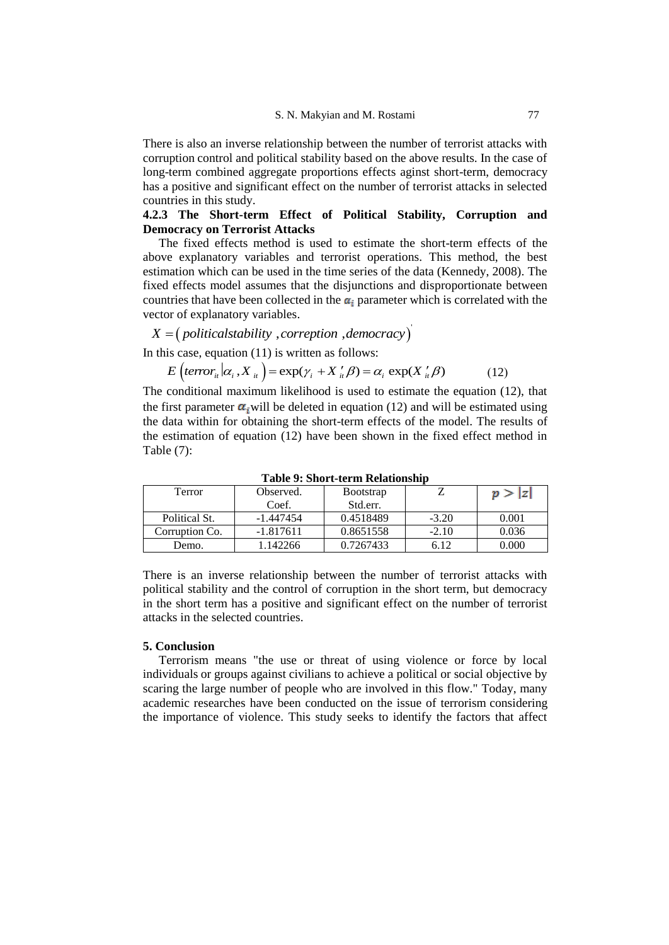There is also an inverse relationship between the number of terrorist attacks with corruption control and political stability based on the above results. In the case of long-term combined aggregate proportions effects aginst short-term, democracy has a positive and significant effect on the number of terrorist attacks in selected countries in this study.

## **4.2.3 The Short-term Effect of Political Stability, Corruption and Democracy on Terrorist Attacks**

The fixed effects method is used to estimate the short-term effects of the above explanatory variables and terrorist operations. This method, the best estimation which can be used in the time series of the data (Kennedy, 2008). The fixed effects model assumes that the disjunctions and disproportionate between countries that have been collected in the  $\alpha_i$  parameter which is correlated with the vector of explanatory variables. *X* = (*politicalstability* , *correption* , *democracy X* = (*politicalstability* , *correption* , *democracy* 

# $($  politicalstability , correption , democracy $)^{'}$

In this case, equation (11) is written as follows:

$$
= (pontcastationity,correpton,demotency)is case, equation (11) is written as follows:
$$
E\left( \text{terror}_{i} | \alpha_{i}, X_{i} \right) = \exp(\gamma_{i} + X_{i}^{\prime} \beta) = \alpha_{i} \exp(X_{i}^{\prime} \beta) \tag{12}
$$
$$

The conditional maximum likelihood is used to estimate the equation (12), that the first parameter  $\alpha_i$  will be deleted in equation (12) and will be estimated using the data within for obtaining the short-term effects of the model. The results of the estimation of equation (12) have been shown in the fixed effect method in Table (7):

| Terror         | Observed.   | <b>B</b> ootstrap |         | p >  z |
|----------------|-------------|-------------------|---------|--------|
|                | Coef.       | Std.err.          |         |        |
| Political St.  | $-1.447454$ | 0.4518489         | $-3.20$ | 0.001  |
| Corruption Co. | $-1.817611$ | 0.8651558         | $-2.10$ | 0.036  |
| Demo.          | 1.142266    | 0.7267433         | 6.12    | 0.000  |

**Table 9: Short-term Relationship**

There is an inverse relationship between the number of terrorist attacks with political stability and the control of corruption in the short term, but democracy in the short term has a positive and significant effect on the number of terrorist attacks in the selected countries.

## **5. Conclusion**

Terrorism means "the use or threat of using violence or force by local individuals or groups against civilians to achieve a political or social objective by scaring the large number of people who are involved in this flow." Today, many academic researches have been conducted on the issue of terrorism considering the importance of violence. This study seeks to identify the factors that affect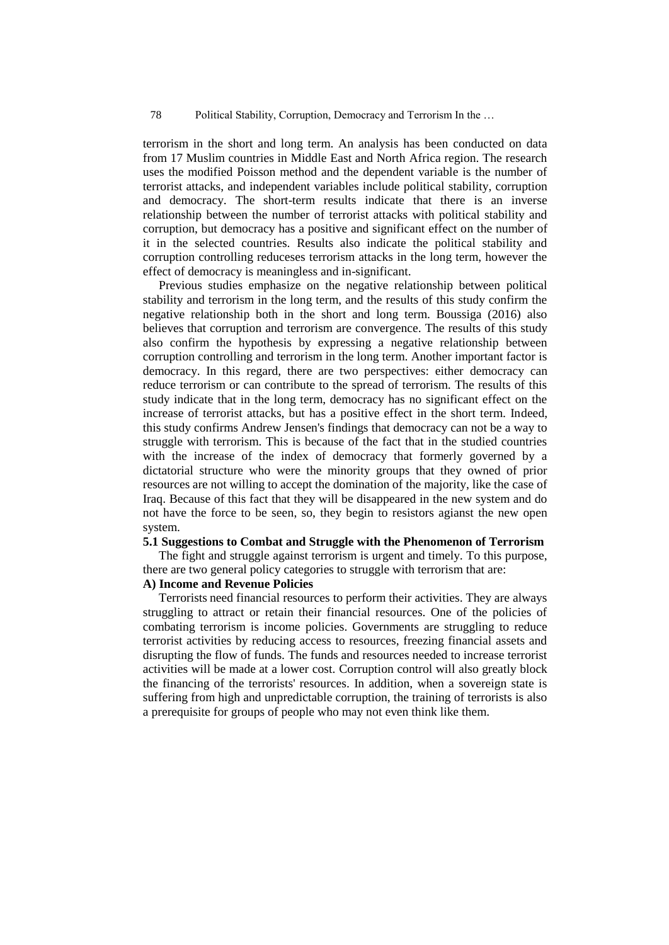terrorism in the short and long term. An analysis has been conducted on data from 17 Muslim countries in Middle East and North Africa region. The research uses the modified Poisson method and the dependent variable is the number of terrorist attacks, and independent variables include political stability, corruption and democracy. The short-term results indicate that there is an inverse relationship between the number of terrorist attacks with political stability and corruption, but democracy has a positive and significant effect on the number of it in the selected countries. Results also indicate the political stability and corruption controlling reduceses terrorism attacks in the long term, however the effect of democracy is meaningless and in-significant.

Previous studies emphasize on the negative relationship between political stability and terrorism in the long term, and the results of this study confirm the negative relationship both in the short and long term. Boussiga (2016) also believes that corruption and terrorism are convergence. The results of this study also confirm the hypothesis by expressing a negative relationship between corruption controlling and terrorism in the long term. Another important factor is democracy. In this regard, there are two perspectives: either democracy can reduce terrorism or can contribute to the spread of terrorism. The results of this study indicate that in the long term, democracy has no significant effect on the increase of terrorist attacks, but has a positive effect in the short term. Indeed, this study confirms Andrew Jensen's findings that democracy can not be a way to struggle with terrorism. This is because of the fact that in the studied countries with the increase of the index of democracy that formerly governed by a dictatorial structure who were the minority groups that they owned of prior resources are not willing to accept the domination of the majority, like the case of Iraq. Because of this fact that they will be disappeared in the new system and do not have the force to be seen, so, they begin to resistors agianst the new open system.

### **5.1 Suggestions to Combat and Struggle with the Phenomenon of Terrorism**

The fight and struggle against terrorism is urgent and timely. To this purpose, there are two general policy categories to struggle with terrorism that are:

## **A) Income and Revenue Policies**

Terrorists need financial resources to perform their activities. They are always struggling to attract or retain their financial resources. One of the policies of combating terrorism is income policies. Governments are struggling to reduce terrorist activities by reducing access to resources, freezing financial assets and disrupting the flow of funds. The funds and resources needed to increase terrorist activities will be made at a lower cost. Corruption control will also greatly block the financing of the terrorists' resources. In addition, when a sovereign state is suffering from high and unpredictable corruption, the training of terrorists is also a prerequisite for groups of people who may not even think like them.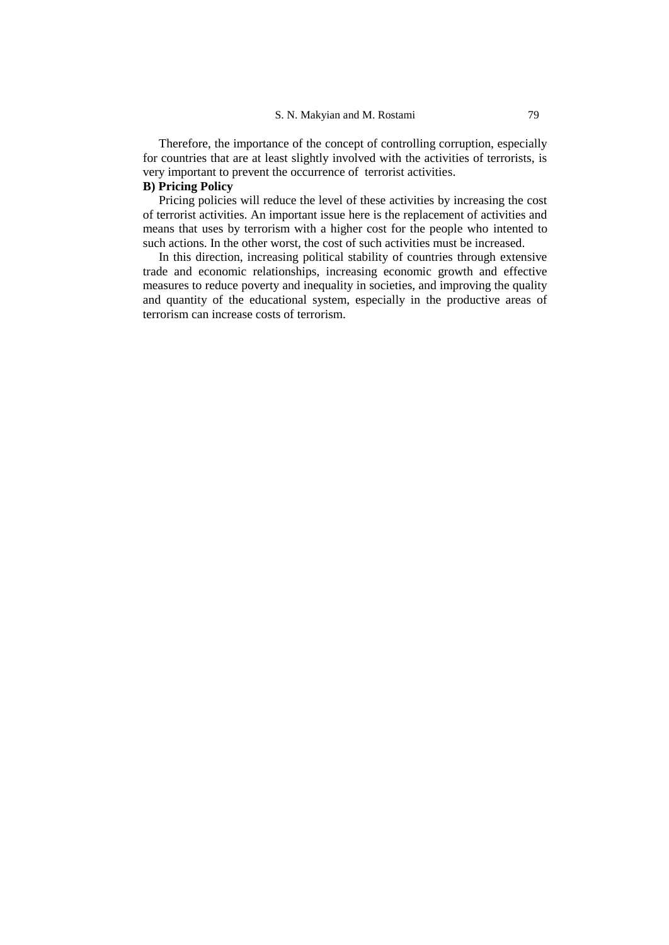Therefore, the importance of the concept of controlling corruption, especially for countries that are at least slightly involved with the activities of terrorists, is very important to prevent the occurrence of terrorist activities.

## **B) Pricing Policy**

Pricing policies will reduce the level of these activities by increasing the cost of terrorist activities. An important issue here is the replacement of activities and means that uses by terrorism with a higher cost for the people who intented to such actions. In the other worst, the cost of such activities must be increased.

In this direction, increasing political stability of countries through extensive trade and economic relationships, increasing economic growth and effective measures to reduce poverty and inequality in societies, and improving the quality and quantity of the educational system, especially in the productive areas of terrorism can increase costs of terrorism.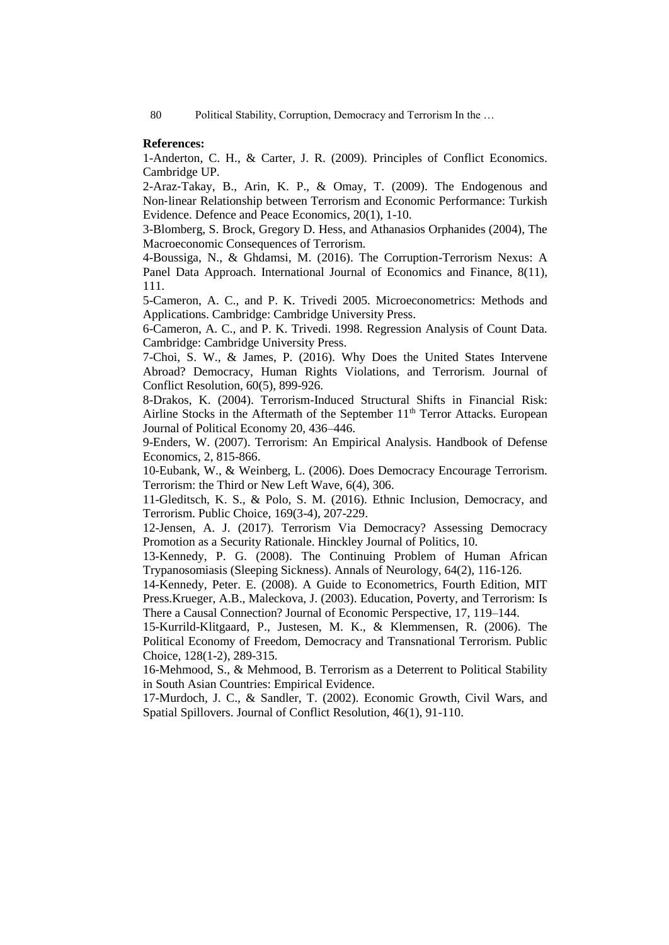## **References:**

1-Anderton, C. H., & Carter, J. R. (2009). Principles of Conflict Economics. Cambridge UP.

2-Araz‐Takay, B., Arin, K. P., & Omay, T. (2009). The Endogenous and Non‐linear Relationship between Terrorism and Economic Performance: Turkish Evidence. Defence and Peace Economics, 20(1), 1-10.

3-Blomberg, S. Brock, Gregory D. Hess, and Athanasios Orphanides (2004), The Macroeconomic Consequences of Terrorism.

4-Boussiga, N., & Ghdamsi, M. (2016). The Corruption-Terrorism Nexus: A Panel Data Approach. International Journal of Economics and Finance, 8(11), 111.

5-Cameron, A. C., and P. K. Trivedi 2005. Microeconometrics: Methods and Applications. Cambridge: Cambridge University Press.

6-Cameron, A. C., and P. K. Trivedi. 1998. Regression Analysis of Count Data. Cambridge: Cambridge University Press.

7-Choi, S. W., & James, P. (2016). Why Does the United States Intervene Abroad? Democracy, Human Rights Violations, and Terrorism. Journal of Conflict Resolution, 60(5), 899-926.

8-Drakos, K. (2004). Terrorism-Induced Structural Shifts in Financial Risk: Airline Stocks in the Aftermath of the September  $11<sup>th</sup>$  Terror Attacks. European Journal of Political Economy 20, 436–446.

9-Enders, W. (2007). Terrorism: An Empirical Analysis. Handbook of Defense Economics, 2, 815-866.

10-Eubank, W., & Weinberg, L. (2006). Does Democracy Encourage Terrorism. Terrorism: the Third or New Left Wave, 6(4), 306.

11-Gleditsch, K. S., & Polo, S. M. (2016). Ethnic Inclusion, Democracy, and Terrorism. Public Choice, 169(3-4), 207-229.

12-Jensen, A. J. (2017). Terrorism Via Democracy? Assessing Democracy Promotion as a Security Rationale. Hinckley Journal of Politics, 10.

13-Kennedy, P. G. (2008). The Continuing Problem of Human African Trypanosomiasis (Sleeping Sickness). Annals of Neurology, 64(2), 116-126.

14[-Kennedy, Peter. E.](https://www.goodreads.com/author/show/4227078.Peter_E_Kennedy) (2008). A Guide to Econometrics, Fourth Edition, MIT Press.Krueger, A.B., Maleckova, J. (2003). Education, Poverty, and Terrorism: Is There a Causal Connection? Journal of Economic Perspective, 17, 119–144.

15-Kurrild-Klitgaard, P., Justesen, M. K., & Klemmensen, R. (2006). The Political Economy of Freedom, Democracy and Transnational Terrorism. Public Choice, 128(1-2), 289-315.

16-Mehmood, S., & Mehmood, B. Terrorism as a Deterrent to Political Stability in South Asian Countries: Empirical Evidence.

17-Murdoch, J. C., & Sandler, T. (2002). Economic Growth, Civil Wars, and Spatial Spillovers. Journal of Conflict Resolution, 46(1), 91-110.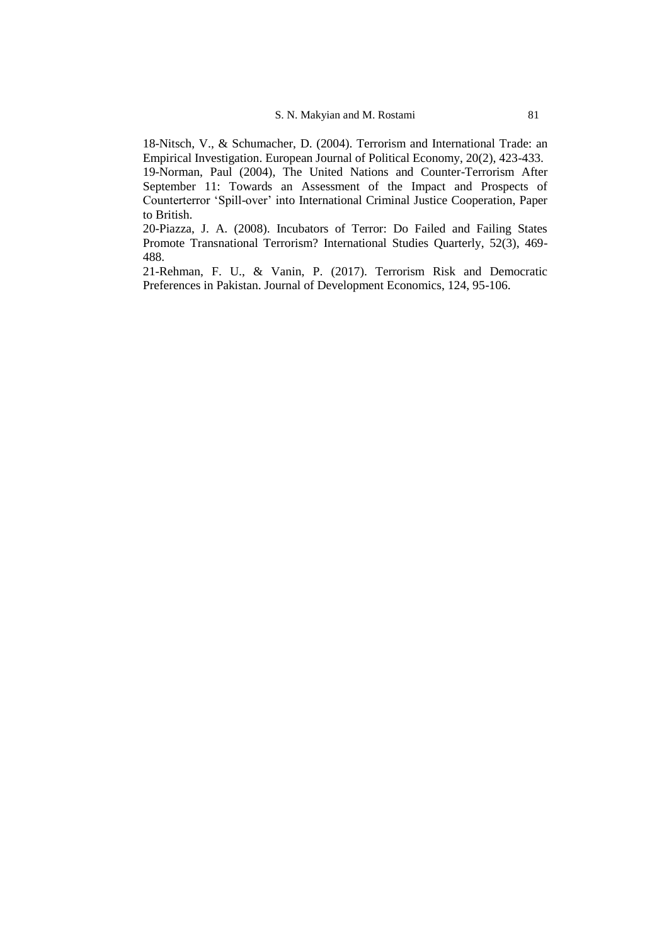18-Nitsch, V., & Schumacher, D. (2004). Terrorism and International Trade: an Empirical Investigation. European Journal of Political Economy, 20(2), 423-433. 19-Norman, Paul (2004), The United Nations and Counter-Terrorism After September 11: Towards an Assessment of the Impact and Prospects of Counterterror 'Spill-over' into International Criminal Justice Cooperation, Paper to British.

20-Piazza, J. A. (2008). Incubators of Terror: Do Failed and Failing States Promote Transnational Terrorism? International Studies Quarterly, 52(3), 469- 488.

21-Rehman, F. U., & Vanin, P. (2017). Terrorism Risk and Democratic Preferences in Pakistan. Journal of Development Economics, 124, 95-106.